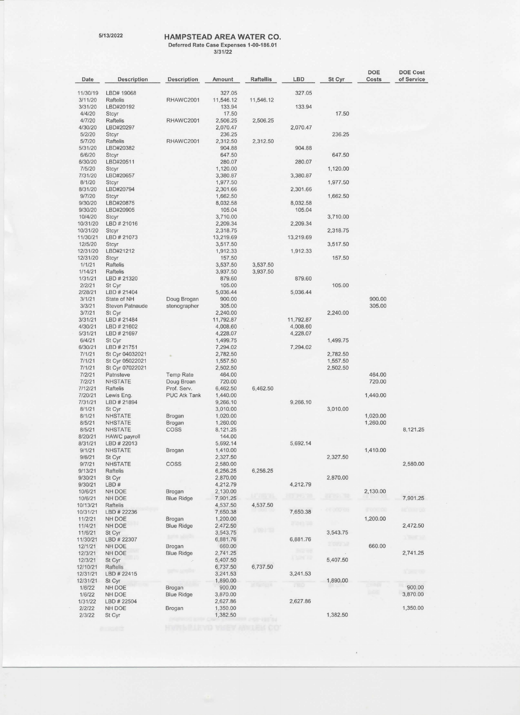## 5/13/2022 **HAMPSTEAD AREA WATER CO. Deferred Rate Case Expenses 1--00-186.01**

**3/31/22** 

|                     |                              |                     |                       |                      |              |           | <b>DOE</b>  | <b>DOE Cost</b> |
|---------------------|------------------------------|---------------------|-----------------------|----------------------|--------------|-----------|-------------|-----------------|
| Date                | Description                  | Description         | Amount                | Raftellis            | LBD          | St Cyr    | Costs       | of Service      |
| 11/30/19            | LBD# 19068                   |                     | 327.05                |                      | 327.05       |           |             |                 |
| 3/11/20             | Raftelis                     | RHAWC2001           | 11,546.12             | 11,546.12            |              |           |             |                 |
| 3/31/20             | LBD#20192                    |                     | 133.94                |                      | 133.94       |           |             |                 |
| 4/4/20              | <b>Stcyr</b>                 |                     | 17.50                 |                      |              | 17.50     |             |                 |
| 4/7/20<br>4/30/20   | Raftelis<br>LBD#20297        | RHAWC2001           | 2,506.25<br>2,070.47  | 2,506.25             | 2,070.47     |           |             |                 |
| 5/2/20              | <b>Stcyr</b>                 |                     | 236.25                |                      |              | 236.25    |             |                 |
| 5/7/20              | <b>Raftelis</b>              | RHAWC2001           | 2,312.50              | 2,312.50             |              |           |             |                 |
| 5/31/20             | LBD#20382                    |                     | 904.88                |                      | 904.88       |           |             |                 |
| 6/6/20              | <b>Stcyr</b>                 |                     | 647.50                |                      |              | 647.50    |             |                 |
| 6/30/20<br>7/5/20   | LBD#20511                    |                     | 280.07<br>1,120.00    |                      | 280.07       |           |             |                 |
| 7/31/20             | <b>Stcyr</b><br>LBD#20657    |                     | 3,380.87              |                      | 3,380.87     | 1,120.00  |             |                 |
| 8/1/20              | <b>Stcyr</b>                 |                     | 1,977.50              |                      |              | 1,977.50  |             |                 |
| 8/31/20             | LBD#20794                    |                     | 2,301.66              |                      | 2,301.66     |           |             |                 |
| 9/7/20              | <b>Stcyr</b>                 |                     | 1,662.50              |                      |              | 1,662.50  |             |                 |
| 9/30/20             | LBD#20875                    |                     | 8,032.58              |                      | 8,032.58     |           |             |                 |
| 9/30/20<br>10/4/20  | LBD#20905<br>Stcyr           |                     | 105.04<br>3,710.00    |                      | 105.04       | 3,710.00  |             |                 |
| 10/31/20            | LBD # 21016                  |                     | 2,209.34              |                      | 2,209.34     |           |             |                 |
| 10/31/20            | <b>Stcyr</b>                 |                     | 2,318.75              |                      |              | 2,318.75  |             |                 |
| 11/30/21            | LBD # 21073                  |                     | 13,219.69             |                      | 13,219.69    |           |             |                 |
| 12/5/20             | <b>Stcyr</b>                 |                     | 3,517.50              |                      |              | 3,517.50  |             |                 |
| 12/31/20            | LBD#21212                    |                     | 1,912.33              |                      | 1,912.33     |           |             |                 |
| 12/31/20<br>1/1/21  | Stcyr<br><b>Raftelis</b>     |                     | 157.50                |                      |              | 157.50    |             |                 |
| 1/14/21             | <b>Raftelis</b>              |                     | 3,537.50<br>3,937.50  | 3,537.50<br>3,937.50 |              |           |             |                 |
| 1/31/21             | LBD # 21320                  |                     | 879.60                |                      | 879.60       |           |             |                 |
| 2/2/21              | St Cyr                       |                     | 105.00                |                      |              | 105.00    |             |                 |
| 2/28/21             | LBD # 21404                  |                     | 5,036.44              |                      | 5,036.44     |           |             |                 |
| 3/1/21              | State of NH                  | Doug Brogan         | 900.00                |                      |              |           | 900.00      |                 |
| 3/3/21              | <b>Steven Patnaude</b>       | stenographer        | 305.00                |                      |              |           | 305.00      |                 |
| 3/7/21<br>3/31/21   | St Cyr<br>LBD # 21484        |                     | 2,240.00<br>11,792.87 |                      | 11,792.87    | 2.240.00  |             |                 |
| 4/30/21             | LBD # 21602                  |                     | 4,008.60              |                      | 4,008.60     |           |             |                 |
| 5/31/21             | LBD # 21697                  |                     | 4,228.07              |                      | 4,228.07     |           |             |                 |
| 6/4/21              | St Cyr                       |                     | 1,499.75              |                      |              | 1,499.75  |             |                 |
| 6/30/21             | LBD # 21751                  |                     | 7,294.02              |                      | 7,294.02     |           |             |                 |
| 7/1/21              | St Cyr 04032021              |                     | 2,782.50              |                      |              | 2,782.50  |             |                 |
| 7/1/21              | St Cyr 05022021              |                     | 1,557.50              |                      |              | 1,557.50  |             |                 |
| 7/1/21<br>7/2/21    | St Cyr 07022021<br>Patnsteve | <b>Temp Rate</b>    | 2,502.50<br>464.00    |                      |              | 2,502.50  | 464.00      |                 |
| 7/2/21              | <b>NHSTATE</b>               | Doug Broan          | 720.00                |                      |              |           | 720.00      |                 |
| 7/12/21             | Raftelis                     | Prof. Serv.         | 6,462.50              | 6,462.50             |              |           |             |                 |
| 7/20/21             | Lewis Eng.                   | <b>PUC Atk Tank</b> | 1,440.00              |                      |              |           | 1,440.00    |                 |
| 7/31/21             | LBD # 21894                  |                     | 9,266.10              |                      | 9,266.10     |           |             |                 |
| 8/1/21<br>8/1/21    | St Cyr<br><b>NHSTATE</b>     |                     | 3,010.00<br>1,020.00  |                      |              | 3,010.00  | 1,020.00    |                 |
| 8/5/21              | <b>NHSTATE</b>               | Brogan<br>Brogan    | 1,260.00              |                      |              |           | 1,260.00    |                 |
| 8/5/21              | <b>NHSTATE</b>               | COSS                | 8,121.25              |                      |              |           |             | 8,121.25        |
| 8/20/21             | HAWC payroll                 |                     | 144.00                |                      |              |           |             |                 |
| 8/31/21             | LBD # 22013                  |                     | 5,692.14              |                      | 5,692.14     |           |             |                 |
| 9/1/21              | <b>NHSTATE</b>               | Brogan              | 1,410.00              |                      |              |           | 1,410.00    |                 |
| 9/6/21<br>9/7/21    | St Cyr<br><b>NHSTATE</b>     | COSS                | 2,327.50<br>2,580.00  |                      |              | 2,327.50  |             | 2,580.00        |
| 9/13/21             | Raftelis                     |                     | 6,256.25              | 6,256.25             |              |           |             |                 |
| 9/30/21             | St Cyr                       |                     | 2,870.00              |                      |              | 2,870.00  |             |                 |
| 9/30/21             | LBD#                         |                     | 4,212.79              |                      | 4,212.79     |           |             |                 |
| 10/6/21             | NH DOE                       | Brogan              | 2,130.00              |                      |              |           | 2,130.00    |                 |
| 10/6/21             | NH DOE                       | <b>Blue Ridge</b>   | 7,901.25              |                      |              |           |             | 7,901.25        |
| 10/13/21            | Raftelis                     |                     | 4,537.50              | 4,537.50             |              | an more s | in ma       | la angle        |
| 10/31/21<br>11/2/21 | LBD # 22236<br>NH DOE        | Brogan              | 7,650.38<br>1,200.00  |                      | 7,650.38     |           | 1,200.00    |                 |
| 11/4/21             | NH DOE                       | <b>Blue Ridge</b>   | 2,472.50              |                      | 14 V B       |           |             | 2,472.50        |
| 11/6/21             | St Cyr                       |                     | 3,543.75              | 5 09 7 5 1           |              | 3,543.75  |             |                 |
| 11/30/21            | LBD # 22307                  |                     | 6,881.76              |                      | 6,881.76     |           |             |                 |
| 12/1/21             | NH DOE                       | Brogan              | 660.00                |                      | <b>SNAMP</b> | 3 Let 12  | 660.00      |                 |
| 12/3/21             | NH DOE                       | <b>Blue Ridge</b>   | 2,741.25              |                      | 13213        |           |             | 2,741.25        |
| 12/3/21<br>12/10/21 | St Cyr<br>Raftelis           |                     | 5,407.50<br>6,737.50  | 6,737.50             |              | 5,407.50  |             |                 |
| 12/31/21            | LBD #22415                   |                     | 3,241.53              |                      | 3,241.53     |           |             | <b>SURGEO</b>   |
| 12/31/21            | St Cyr                       |                     | 1,890.00              |                      |              | 1,890.00  |             |                 |
| 1/6/22              | NH DOE                       | Brogan              | 900.00                | <b>REPORT</b>        | <b>LTBD</b>  |           | - 48        | 900.00          |
| 1/6/22              | NH DOE                       | <b>Blue Ridge</b>   | 3,870.00              |                      |              |           | <b>CASE</b> | 3,870.00        |
| 1/31/22             | LBD # 22504                  |                     | 2,627.86              |                      | 2,627.86     |           |             |                 |
| 2/2/22              | NH DOE                       | Brogan              | 1,350.00<br>1,382.50  |                      |              | 1,382.50  |             | 1,350.00        |
| 2/3/22              | St Cyr                       |                     |                       |                      |              |           |             |                 |

 $\bar{\epsilon}$